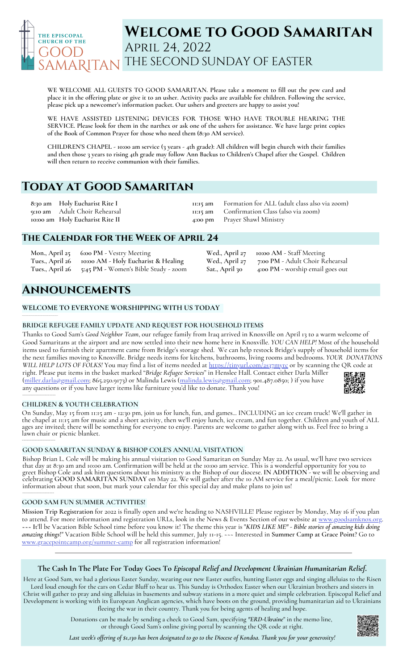

# **Welcome to Good Samaritan** April 24, 2022 THE SECOND SUNDAY OF EASTER

**WE WELCOME ALL GUESTS TO GOOD SAMARITAN. Please take a moment to fill out the pew card and** place it in the offering plate or give it to an usher. Activity packs are available for children. Following the service, **please pick up a newcomer's information packet. Our ushers and greeters are happy to assist you!**

**WE HAVE ASSISTED LISTENING DEVICES FOR THOSE WHO HAVE TROUBLE HEARING THE** SERVICE. Please look for them in the narthex or ask one of the ushers for assistance. We have large print copies **of the Book of Common Prayer for those who need them (8:30 AM service).**

CHILDREN'S CHAPEL - 10:00 am service (3 years - 4th grade): All children will begin church with their families and then those 3 years to rising 4th grade may follow Ann Backus to Children's Chapel after the Gospel. Children **will then return to receive communion with their families.**

# **Today at Good Samaritan**

**8:30 am 9:10 am 10:00 am Holy Eucharist Rite II Holy Eucharist Rite I** Adult Choir Rehearsal **11:15 am 11:15 am 4:00 pm** Formation for ALL (adult class also via zoom) Confirmation Class (also via zoom) Prayer Shawl Ministry

**Wed., April 27 7:00 PM** - Adult Choir Rehearsal

**Sat., April 30 4:00 PM** - worship email goes out

**Wed., April 27 10:00 AM** - Staff Meeting

## **The Calendar for the Week of April 24**

| Mon., April 25 6:00 PM - Vestry Meeting              |
|------------------------------------------------------|
| Tues., April 26 10:00 AM - Holy Eucharist & Healing  |
| Tues., April 26 5:45 PM - Women's Bible Study - zoom |

# **Announcements**

## **WELCOME TO EVERYONE WORSHIPPING WITH US TODAY**

### **BRIDGE REFUGEE FAMILY UPDATE AND REQUEST FOR HOUSEHOLD ITEMS**

Thanks to Good Sam's *Good Neighbor Team*, our refugee family from Iraq arrived in Knoxville on April 13 to a warm welcome of Good Samaritans at the airport and are now settled into their new home here in Knoxville. *YOU CAN HELP!* Most of the household items used to furnish their apartment came from Bridge's storage shed. We can help restock Bridge's supply of household items for the next families moving to Knoxville. Bridge needs items for kitchens, bathrooms, living rooms and bedrooms. *YOUR DONATIONS WILL HELP LOTS OF FOLKS!* You may find a list of items needed at <https://tinyurl.com/2s37myrc> or by scanning the QR code at right. Please put items in the basket marked "*Bridge Refugee Services*" in Henslee Hall. Contact either Darla Miller ([miller.darla@gmail.com](mailto:miller.darla@gmail.com); 865.250.9173) or Malinda Lewis [\(malinda.lewis@gmail.com](mailto:malinda.lewis@gmail.com); 901.487.0850; ) if you have any questions or if you have larger items like furniture you'd like to donate. Thank you!

### **CHILDREN & YOUTH CELEBRATION**

On Sunday, May 15 from 11:15 am - 12:30 pm, join us for lunch, fun, and games... INCLUDING an ice cream truck! We'll gather in the chapel at 11:15 am for music and a short activity, then we'll enjoy lunch, ice cream, and fun together. Children and youth of ALL ages are invited; there will be something for everyone to enjoy. Parents are welcome to gather along with us. Feel free to bring a lawn chair or picnic blanket.

### **GOOD SAMARITAN SUNDAY & BISHOP COLE'S ANNUAL VISITATION**

Bishop Brian L.Cole will be making his annual visitation to Good Samaritan on Sunday May 22. As usual, we'll have two services that day at 8:30 am and 10:00 am. Confirmation will be held at the 10:00 am service. This is a wonderful opportunity for you to greet Bishop Cole and ask him questions about his ministry as the Bishop of our diocese. **IN ADDITION** - we will be observing and celebrating **GOOD SAMARITAN SUNDAY** on May 22. We will gather after the 10 AM service for a meal/picnic. Look for more information about that soon, but mark your calendar for this special day and make plans to join us!

### **GOOD SAM FUN SUMMER ACTIVITIES!**

\_\_\_\_\_\_\_\_\_\_\_\_\_\_\_\_\_\_\_\_\_\_

\_\_\_\_\_\_\_\_\_\_\_\_\_\_\_\_\_\_\_\_\_

**\_\_\_\_\_\_\_\_\_\_\_\_\_\_\_\_\_\_\_\_\_\_\_\_\_\_\_\_\_\_\_\_\_\_**

**Mission Trip Registration** for 2022 is finally open and we're heading to NASHVILLE! Please register by Monday, May 16 if you plan to attend. For more information and registration URLs, look in the News & Events Section of our website at [www.goodsamknox.org](http://www.goodsamknox.org/). **~~~ I**t'll be Vacation Bible School time before you know it! The theme this year is "*KIDS LIKE ME" - Bible stories of amazing kids doing amazing things*!" Vacation Bible School will be held this summer, July 11-15. ~~~ Interested in **Summer Camp at Grace Point**? Go to [www.gracepointcamp.org/summer-camp](http://www.gracepointcamp.org/summer-camp) for all registration information!

## **The Cash In The Plate For Today Goes To** *Episcopal Relief and Development Ukrainian Humanitarian Relief***.**

Here at Good Sam, we had a glorious Easter Sunday, wearing our new Easter outfits, hunting Easter eggs and singing alleluias to the Risen Lord loud enough for the cars on Cedar Bluff to hear us. This Sunday is Orthodox Easter when our Ukrainian brothers and sisters in Christ will gather to pray and sing alleluias in basements and subway stations in a more quiet and simple celebration. Episcopal Relief and Development is working with its European Anglican agencies, which have boots on the ground, providing humanitarian aid to Ukrainians fleeing the war in their country. Thank you for being agents of healing and hope.

> Donations can be made by sending a check to Good Sam, specifying *"ERD-Ukraine*" in the memo line, or through Good Sam's online giving portal by scanning the QR code at right.

Last week's offering of \$1,130 has been designated to go to the Diocese of Kondoa. Thank you for your generosity!